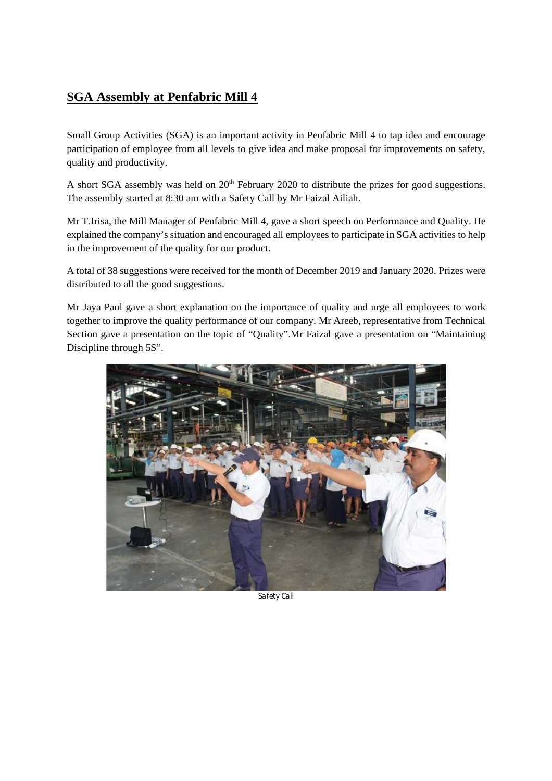## **SGA Assembly at Penfabric Mill 4**

Small Group Activities (SGA) is an important activity in Penfabric Mill 4 to tap idea and encourage participation of employee from all levels to give idea and make proposal for improvements on safety, quality and productivity.

A short SGA assembly was held on 20<sup>th</sup> February 2020 to distribute the prizes for good suggestions. The assembly started at 8:30 am with a Safety Call by Mr Faizal Ailiah.

Mr T.Irisa, the Mill Manager of Penfabric Mill 4, gave a short speech on Performance and Quality. He explained the company's situation and encouraged all employees to participate in SGA activities to help in the improvement of the quality for our product.

A total of 38 suggestions were received for the month of December 2019 and January 2020. Prizes were distributed to all the good suggestions.

Mr Jaya Paul gave a short explanation on the importance of quality and urge all employees to work together to improve the quality performance of our company. Mr Areeb, representative from Technical Section gave a presentation on the topic of "Quality".Mr Faizal gave a presentation on "Maintaining Discipline through 5S".



*Safety Call*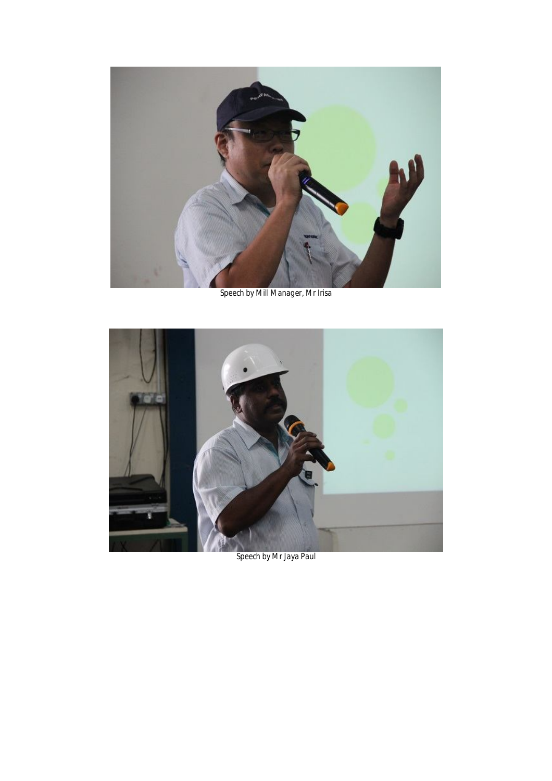

*Speech by Mill Manager, Mr Irisa*



*Speech by Mr Jaya Paul*